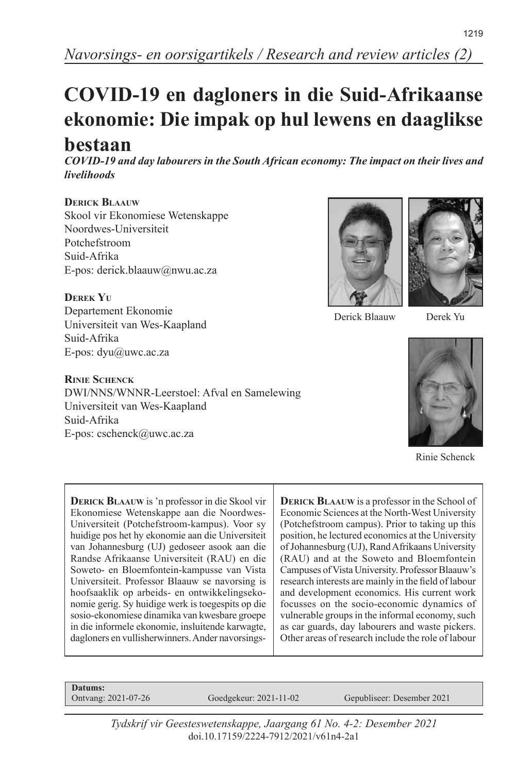# **COVID-19 en dagloners in die Suid-Afrikaanse ekonomie: Die impak op hul lewens en daaglikse**

# **bestaan**

*COVID-19 and day labourers in the South African economy: The impact on their lives and livelihoods*

## **Derick Blaauw**

Skool vir Ekonomiese Wetenskappe Noordwes-Universiteit Potchefstroom Suid-Afrika E-pos: derick.blaauw@nwu.ac.za

#### **Derek Yu**

Departement Ekonomie Universiteit van Wes-Kaapland Suid-Afrika E-pos: dyu@uwc.ac.za

#### **Rinie Schenck**

DWI/NNS/WNNR-Leerstoel: Afval en Samelewing Universiteit van Wes-Kaapland Suid-Afrika E-pos: cschenck@uwc.ac.za





Derick Blaauw

Derek Yu



Rinie Schenck

**Derick Blaauw** is 'n professor in die Skool vir Ekonomiese Wetenskappe aan die Noordwes-Universiteit (Potchefstroom-kampus). Voor sy huidige pos het hy ekonomie aan die Universiteit van Johannesburg (UJ) gedoseer asook aan die Randse Afrikaanse Universiteit (RAU) en die Soweto- en Bloemfontein-kampusse van Vista Universiteit. Professor Blaauw se navorsing is hoofsaaklik op arbeids- en ontwikkelingsekonomie gerig. Sy huidige werk is toegespits op die sosio-ekonomiese dinamika van kwesbare groepe in die informele ekonomie, insluitende karwagte, dagloners en vullisherwinners. Ander navorsings**DERICK BLAAUW** is a professor in the School of Economic Sciences at the North-West University (Potchefstroom campus). Prior to taking up this position, he lectured economics at the University of Johannesburg (UJ), Rand Afrikaans University (RAU) and at the Soweto and Bloemfontein Campuses of Vista University. Professor Blaauw's research interests are mainly in the field of labour and development economics. His current work focusses on the socio-economic dynamics of vulnerable groups in the informal economy, such as car guards, day labourers and waste pickers. Other areas of research include the role of labour

**Datums:**<br>Ontvang: 2021-07-26

Goedgekeur: 2021-11-02 Gepubliseer: Desember 2021

*Tydskrif vir Geesteswetenskappe, Jaargang 61 No. 4-2: Desember 2021* doi.10.17159/2224-7912/2021/v61n4-2a1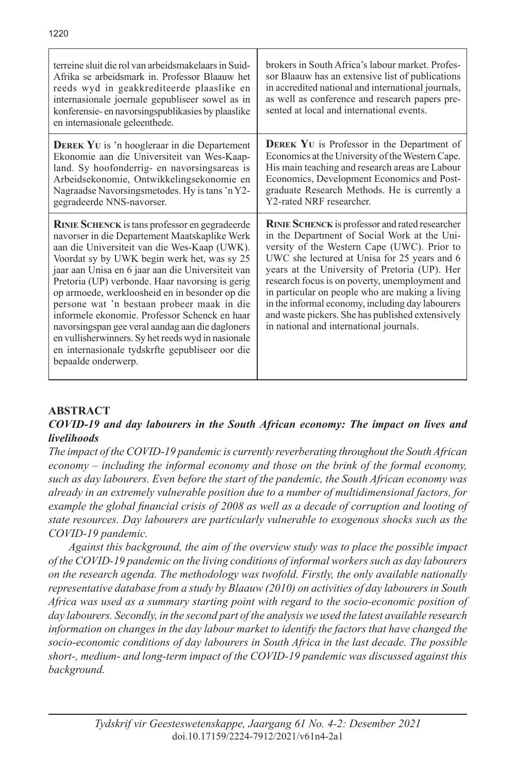| terreine sluit die rol van arbeidsmakelaars in Suid-<br>Afrika se arbeidsmark in Professor Blaauw het<br>reeds wyd in geakkrediteerde plaaslike en<br>internasionale joernale gepubliseer sowel as in<br>konferensie- en navorsingspublikasies by plaaslike<br>en internasionale geleenthede.                                                                                                                                                                                                                                                                                                                                                      | brokers in South Africa's labour market. Profes-<br>sor Blaauw has an extensive list of publications<br>in accredited national and international journals,<br>as well as conference and research papers pre-<br>sented at local and international events.                                                                                                                                                                                                                                               |
|----------------------------------------------------------------------------------------------------------------------------------------------------------------------------------------------------------------------------------------------------------------------------------------------------------------------------------------------------------------------------------------------------------------------------------------------------------------------------------------------------------------------------------------------------------------------------------------------------------------------------------------------------|---------------------------------------------------------------------------------------------------------------------------------------------------------------------------------------------------------------------------------------------------------------------------------------------------------------------------------------------------------------------------------------------------------------------------------------------------------------------------------------------------------|
| <b>DEREK YU</b> is 'n hoogleraar in die Departement<br>Ekonomie aan die Universiteit van Wes-Kaap-<br>land. Sy hoofonderrig- en navorsingsareas is<br>Arbeidsekonomie, Ontwikkelingsekonomie en<br>Nagraadse Navorsingsmetodes. Hy is tans 'n Y2-<br>gegradeerde NNS-navorser.                                                                                                                                                                                                                                                                                                                                                                     | <b>DEREK YU</b> is Professor in the Department of<br>Economics at the University of the Western Cape.<br>His main teaching and research areas are Labour<br>Economics, Development Economics and Post-<br>graduate Research Methods. He is currently a<br>Y2-rated NRF researcher.                                                                                                                                                                                                                      |
| <b>RINIE SCHENCK</b> is tans professor en gegradeerde<br>navorser in die Departement Maatskaplike Werk<br>aan die Universiteit van die Wes-Kaap (UWK).<br>Voordat sy by UWK begin werk het, was sy 25<br>jaar aan Unisa en 6 jaar aan die Universiteit van<br>Pretoria (UP) verbonde. Haar navorsing is gerig<br>op armoede, werkloosheid en in besonder op die<br>persone wat 'n bestaan probeer maak in die<br>informele ekonomie. Professor Schenck en haar<br>navorsingspan gee veral aandag aan die dagloners<br>en vullisherwinners. Sy het reeds wyd in nasionale<br>en internasionale tydskrfte gepubliseer oor die<br>bepaalde onderwerp. | RINIE SCHENCK is professor and rated researcher<br>in the Department of Social Work at the Uni-<br>versity of the Western Cape (UWC). Prior to<br>UWC she lectured at Unisa for 25 years and 6<br>years at the University of Pretoria (UP). Her<br>research focus is on poverty, unemployment and<br>in particular on people who are making a living<br>in the informal economy, including day labourers<br>and waste pickers. She has published extensively<br>in national and international journals. |

## **ABSTRACT**

#### *COVID-19 and day labourers in the South African economy: The impact on lives and livelihoods*

*The impact of the COVID-19 pandemic is currently reverberating throughout the South African economy – including the informal economy and those on the brink of the formal economy, such as day labourers. Even before the start of the pandemic, the South African economy was already in an extremely vulnerable position due to a number of multidimensional factors, for example the global financial crisis of 2008 as well as a decade of corruption and looting of state resources. Day labourers are particularly vulnerable to exogenous shocks such as the COVID-19 pandemic.*

*Against this background, the aim of the overview study was to place the possible impact of the COVID-19 pandemic on the living conditions of informal workers such as day labourers on the research agenda. The methodology was twofold. Firstly, the only available nationally representative database from a study by Blaauw (2010) on activities of day labourers in South Africa was used as a summary starting point with regard to the socio-economic position of day labourers. Secondly, in the second part of the analysis we used the latest available research information on changes in the day labour market to identify the factors that have changed the socio-economic conditions of day labourers in South Africa in the last decade. The possible short-, medium- and long-term impact of the COVID-19 pandemic was discussed against this background.*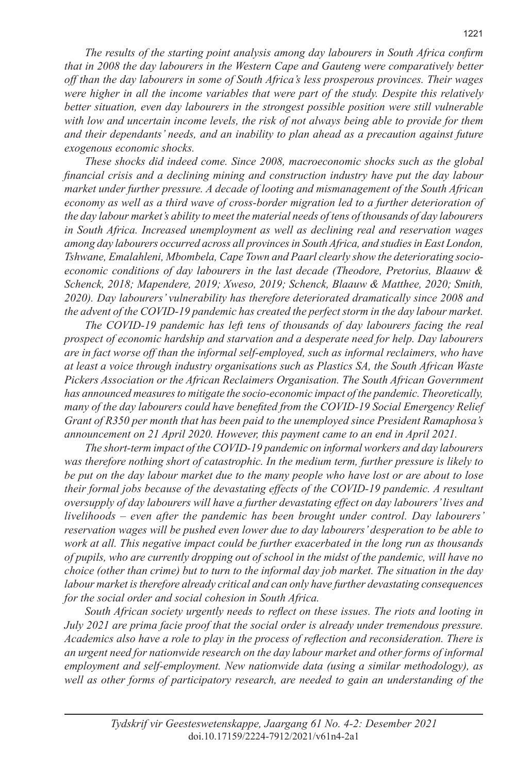*The results of the starting point analysis among day labourers in South Africa confirm that in 2008 the day labourers in the Western Cape and Gauteng were comparatively better off than the day labourers in some of South Africa's less prosperous provinces. Their wages were higher in all the income variables that were part of the study. Despite this relatively better situation, even day labourers in the strongest possible position were still vulnerable with low and uncertain income levels, the risk of not always being able to provide for them and their dependants' needs, and an inability to plan ahead as a precaution against future exogenous economic shocks.*

*These shocks did indeed come. Since 2008, macroeconomic shocks such as the global financial crisis and a declining mining and construction industry have put the day labour market under further pressure. A decade of looting and mismanagement of the South African economy as well as a third wave of cross-border migration led to a further deterioration of the day labour market's ability to meet the material needs of tens of thousands of day labourers in South Africa. Increased unemployment as well as declining real and reservation wages among day labourers occurred across all provinces in South Africa, and studies in East London, Tshwane, Emalahleni, Mbombela, Cape Town and Paarl clearly show the deteriorating socioeconomic conditions of day labourers in the last decade (Theodore, Pretorius, Blaauw & Schenck, 2018; Mapendere, 2019; Xweso, 2019; Schenck, Blaauw & Matthee, 2020; Smith, 2020). Day labourers' vulnerability has therefore deteriorated dramatically since 2008 and the advent of the COVID-19 pandemic has created the perfect storm in the day labour market.*

*The COVID-19 pandemic has left tens of thousands of day labourers facing the real prospect of economic hardship and starvation and a desperate need for help. Day labourers are in fact worse off than the informal self-employed, such as informal reclaimers, who have at least a voice through industry organisations such as Plastics SA, the South African Waste Pickers Association or the African Reclaimers Organisation. The South African Government has announced measures to mitigate the socio-economic impact of the pandemic. Theoretically, many of the day labourers could have benefited from the COVID-19 Social Emergency Relief Grant of R350 per month that has been paid to the unemployed since President Ramaphosa's announcement on 21 April 2020. However, this payment came to an end in April 2021.*

*The short-term impact of the COVID-19 pandemic on informal workers and day labourers was therefore nothing short of catastrophic. In the medium term, further pressure is likely to be put on the day labour market due to the many people who have lost or are about to lose their formal jobs because of the devastating effects of the COVID-19 pandemic. A resultant oversupply of day labourers will have a further devastating effect on day labourers' lives and livelihoods – even after the pandemic has been brought under control. Day labourers' reservation wages will be pushed even lower due to day labourers' desperation to be able to work at all. This negative impact could be further exacerbated in the long run as thousands of pupils, who are currently dropping out of school in the midst of the pandemic, will have no choice (other than crime) but to turn to the informal day job market. The situation in the day labour market is therefore already critical and can only have further devastating consequences for the social order and social cohesion in South Africa.*

*South African society urgently needs to reflect on these issues. The riots and looting in July 2021 are prima facie proof that the social order is already under tremendous pressure. Academics also have a role to play in the process of reflection and reconsideration. There is an urgent need for nationwide research on the day labour market and other forms of informal employment and self-employment. New nationwide data (using a similar methodology), as well as other forms of participatory research, are needed to gain an understanding of the*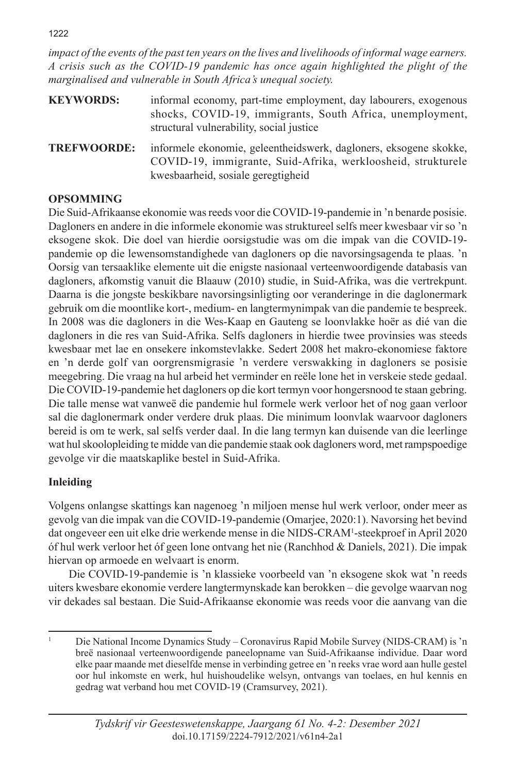1222

*impact of the events of the past ten years on the lives and livelihoods of informal wage earners. A crisis such as the COVID-19 pandemic has once again highlighted the plight of the marginalised and vulnerable in South Africa's unequal society.* 

| <b>KEYWORDS:</b> | informal economy, part-time employment, day labourers, exogenous |
|------------------|------------------------------------------------------------------|
|                  | shocks, COVID-19, immigrants, South Africa, unemployment,        |
|                  | structural vulnerability, social justice                         |

**TREFWOORDE:** informele ekonomie, geleentheidswerk, dagloners, eksogene skokke, COVID-19, immigrante, Suid-Afrika, werkloosheid, strukturele kwesbaarheid, sosiale geregtigheid

# **OPSOMMING**

Die Suid-Afrikaanse ekonomie was reeds voor die COVID-19-pandemie in 'n benarde posisie. Dagloners en andere in die informele ekonomie was struktureel selfs meer kwesbaar vir so 'n eksogene skok. Die doel van hierdie oorsigstudie was om die impak van die COVID-19 pandemie op die lewensomstandighede van dagloners op die navorsingsagenda te plaas. 'n Oorsig van tersaaklike elemente uit die enigste nasionaal verteenwoordigende databasis van dagloners, afkomstig vanuit die Blaauw (2010) studie, in Suid-Afrika, was die vertrekpunt. Daarna is die jongste beskikbare navorsingsinligting oor veranderinge in die daglonermark gebruik om die moontlike kort-, medium- en langtermynimpak van die pandemie te bespreek. In 2008 was die dagloners in die Wes-Kaap en Gauteng se loonvlakke hoër as dié van die dagloners in die res van Suid-Afrika. Selfs dagloners in hierdie twee provinsies was steeds kwesbaar met lae en onsekere inkomstevlakke. Sedert 2008 het makro-ekonomiese faktore en 'n derde golf van oorgrensmigrasie 'n verdere verswakking in dagloners se posisie meegebring. Die vraag na hul arbeid het verminder en reële lone het in verskeie stede gedaal. Die COVID-19-pandemie het dagloners op die kort termyn voor hongersnood te staan gebring. Die talle mense wat vanweë die pandemie hul formele werk verloor het of nog gaan verloor sal die daglonermark onder verdere druk plaas. Die minimum loonvlak waarvoor dagloners bereid is om te werk, sal selfs verder daal. In die lang termyn kan duisende van die leerlinge wat hul skoolopleiding te midde van die pandemie staak ook dagloners word, met rampspoedige gevolge vir die maatskaplike bestel in Suid-Afrika.

# **Inleiding**

Volgens onlangse skattings kan nagenoeg 'n miljoen mense hul werk verloor, onder meer as gevolg van die impak van die COVID-19-pandemie (Omarjee, 2020:1). Navorsing het bevind dat ongeveer een uit elke drie werkende mense in die NIDS-CRAM1 -steekproef in April 2020 óf hul werk verloor het óf geen lone ontvang het nie (Ranchhod & Daniels, 2021). Die impak hiervan op armoede en welvaart is enorm.

Die COVID-19-pandemie is 'n klassieke voorbeeld van 'n eksogene skok wat 'n reeds uiters kwesbare ekonomie verdere langtermynskade kan berokken – die gevolge waarvan nog vir dekades sal bestaan. Die Suid-Afrikaanse ekonomie was reeds voor die aanvang van die

<sup>1</sup> Die National Income Dynamics Study – Coronavirus Rapid Mobile Survey (NIDS-CRAM) is 'n breë nasionaal verteenwoordigende paneelopname van Suid-Afrikaanse individue. Daar word elke paar maande met dieselfde mense in verbinding getree en 'n reeks vrae word aan hulle gestel oor hul inkomste en werk, hul huishoudelike welsyn, ontvangs van toelaes, en hul kennis en gedrag wat verband hou met COVID-19 (Cramsurvey, 2021).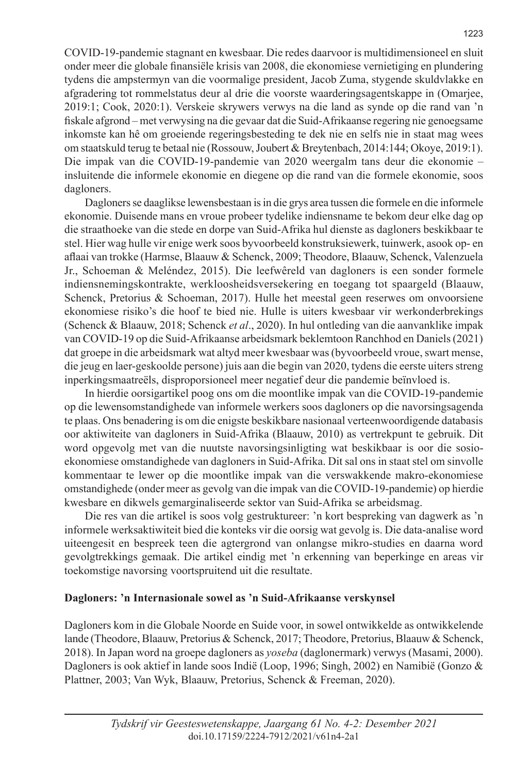COVID-19-pandemie stagnant en kwesbaar. Die redes daarvoor is multidimensioneel en sluit onder meer die globale finansiële krisis van 2008, die ekonomiese vernietiging en plundering tydens die ampstermyn van die voormalige president, Jacob Zuma, stygende skuldvlakke en afgradering tot rommelstatus deur al drie die voorste waarderingsagentskappe in (Omarjee, 2019:1; Cook, 2020:1). Verskeie skrywers verwys na die land as synde op die rand van 'n fiskale afgrond – met verwysing na die gevaar dat die Suid-Afrikaanse regering nie genoegsame inkomste kan hê om groeiende regeringsbesteding te dek nie en selfs nie in staat mag wees om staatskuld terug te betaal nie (Rossouw, Joubert & Breytenbach, 2014:144; Okoye, 2019:1). Die impak van die COVID-19-pandemie van 2020 weergalm tans deur die ekonomie – insluitende die informele ekonomie en diegene op die rand van die formele ekonomie, soos dagloners.

Dagloners se daaglikse lewensbestaan is in die grys area tussen die formele en die informele ekonomie. Duisende mans en vroue probeer tydelike indiensname te bekom deur elke dag op die straathoeke van die stede en dorpe van Suid-Afrika hul dienste as dagloners beskikbaar te stel. Hier wag hulle vir enige werk soos byvoorbeeld konstruksiewerk, tuinwerk, asook op- en aflaai van trokke (Harmse, Blaauw & Schenck, 2009; Theodore, Blaauw, Schenck, Valenzuela Jr., Schoeman & Meléndez, 2015). Die leefwêreld van dagloners is een sonder formele indiensnemingskontrakte, werkloosheidsversekering en toegang tot spaargeld (Blaauw, Schenck, Pretorius & Schoeman, 2017). Hulle het meestal geen reserwes om onvoorsiene ekonomiese risiko's die hoof te bied nie. Hulle is uiters kwesbaar vir werkonderbrekings (Schenck & Blaauw, 2018; Schenck *et al*., 2020). In hul ontleding van die aanvanklike impak van COVID-19 op die Suid-Afrikaanse arbeidsmark beklemtoon Ranchhod en Daniels (2021) dat groepe in die arbeidsmark wat altyd meer kwesbaar was (byvoorbeeld vroue, swart mense, die jeug en laer-geskoolde persone) juis aan die begin van 2020, tydens die eerste uiters streng inperkingsmaatreëls, disproporsioneel meer negatief deur die pandemie beïnvloed is.

In hierdie oorsigartikel poog ons om die moontlike impak van die COVID-19-pandemie op die lewensomstandighede van informele werkers soos dagloners op die navorsingsagenda te plaas. Ons benadering is om die enigste beskikbare nasionaal verteenwoordigende databasis oor aktiwiteite van dagloners in Suid-Afrika (Blaauw, 2010) as vertrekpunt te gebruik. Dit word opgevolg met van die nuutste navorsingsinligting wat beskikbaar is oor die sosioekonomiese omstandighede van dagloners in Suid-Afrika. Dit sal ons in staat stel om sinvolle kommentaar te lewer op die moontlike impak van die verswakkende makro-ekonomiese omstandighede (onder meer as gevolg van die impak van die COVID-19-pandemie) op hierdie kwesbare en dikwels gemarginaliseerde sektor van Suid-Afrika se arbeidsmag.

Die res van die artikel is soos volg gestruktureer: 'n kort bespreking van dagwerk as 'n informele werksaktiwiteit bied die konteks vir die oorsig wat gevolg is. Die data-analise word uiteengesit en bespreek teen die agtergrond van onlangse mikro-studies en daarna word gevolgtrekkings gemaak. Die artikel eindig met 'n erkenning van beperkinge en areas vir toekomstige navorsing voortspruitend uit die resultate.

#### **Dagloners: 'n Internasionale sowel as 'n Suid-Afrikaanse verskynsel**

Dagloners kom in die Globale Noorde en Suide voor, in sowel ontwikkelde as ontwikkelende lande (Theodore, Blaauw, Pretorius & Schenck, 2017; Theodore, Pretorius, Blaauw & Schenck, 2018). In Japan word na groepe dagloners as *yoseba* (daglonermark) verwys (Masami, 2000). Dagloners is ook aktief in lande soos Indië (Loop, 1996; Singh, 2002) en Namibië (Gonzo & Plattner, 2003; Van Wyk, Blaauw, Pretorius, Schenck & Freeman, 2020).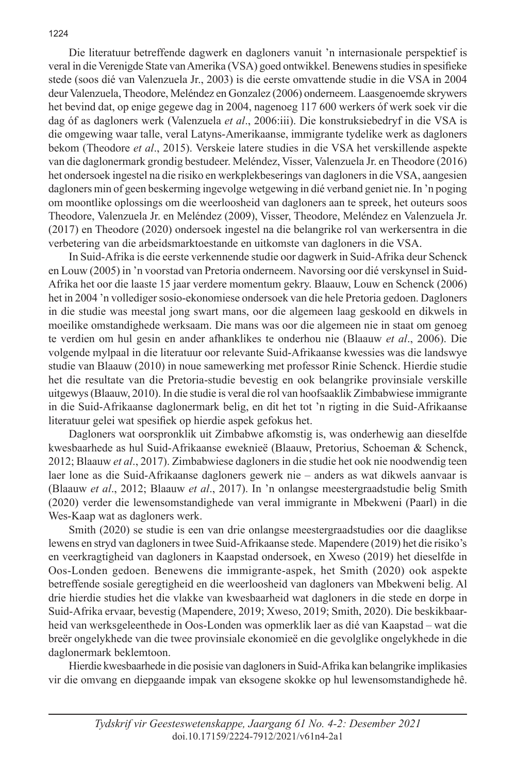Die literatuur betreffende dagwerk en dagloners vanuit 'n internasionale perspektief is veral in die Verenigde State van Amerika (VSA) goed ontwikkel. Benewens studies in spesifieke stede (soos dié van Valenzuela Jr., 2003) is die eerste omvattende studie in die VSA in 2004 deur Valenzuela, Theodore, Meléndez en Gonzalez (2006) onderneem. Laasgenoemde skrywers het bevind dat, op enige gegewe dag in 2004, nagenoeg 117 600 werkers óf werk soek vir die dag óf as dagloners werk (Valenzuela *et al*., 2006:iii). Die konstruksiebedryf in die VSA is die omgewing waar talle, veral Latyns-Amerikaanse, immigrante tydelike werk as dagloners bekom (Theodore *et al*., 2015). Verskeie latere studies in die VSA het verskillende aspekte van die daglonermark grondig bestudeer. Meléndez, Visser, Valenzuela Jr. en Theodore (2016) het ondersoek ingestel na die risiko en werkplekbeserings van dagloners in die VSA, aangesien dagloners min of geen beskerming ingevolge wetgewing in dié verband geniet nie. In 'n poging om moontlike oplossings om die weerloosheid van dagloners aan te spreek, het outeurs soos Theodore, Valenzuela Jr. en Meléndez (2009), Visser, Theodore, Meléndez en Valenzuela Jr. (2017) en Theodore (2020) ondersoek ingestel na die belangrike rol van werkersentra in die verbetering van die arbeidsmarktoestande en uitkomste van dagloners in die VSA.

In Suid-Afrika is die eerste verkennende studie oor dagwerk in Suid-Afrika deur Schenck en Louw (2005) in 'n voorstad van Pretoria onderneem. Navorsing oor dié verskynsel in Suid-Afrika het oor die laaste 15 jaar verdere momentum gekry. Blaauw, Louw en Schenck (2006) het in 2004 'n vollediger sosio-ekonomiese ondersoek van die hele Pretoria gedoen. Dagloners in die studie was meestal jong swart mans, oor die algemeen laag geskoold en dikwels in moeilike omstandighede werksaam. Die mans was oor die algemeen nie in staat om genoeg te verdien om hul gesin en ander afhanklikes te onderhou nie (Blaauw *et al*., 2006). Die volgende mylpaal in die literatuur oor relevante Suid-Afrikaanse kwessies was die landswye studie van Blaauw (2010) in noue samewerking met professor Rinie Schenck. Hierdie studie het die resultate van die Pretoria-studie bevestig en ook belangrike provinsiale verskille uitgewys (Blaauw, 2010). In die studie is veral die rol van hoofsaaklik Zimbabwiese immigrante in die Suid-Afrikaanse daglonermark belig, en dit het tot 'n rigting in die Suid-Afrikaanse literatuur gelei wat spesifiek op hierdie aspek gefokus het.

Dagloners wat oorspronklik uit Zimbabwe afkomstig is, was onderhewig aan dieselfde kwesbaarhede as hul Suid-Afrikaanse eweknieë (Blaauw, Pretorius, Schoeman & Schenck, 2012; Blaauw *et al*., 2017). Zimbabwiese dagloners in die studie het ook nie noodwendig teen laer lone as die Suid-Afrikaanse dagloners gewerk nie – anders as wat dikwels aanvaar is (Blaauw *et al*., 2012; Blaauw *et al*., 2017). In 'n onlangse meestergraadstudie belig Smith (2020) verder die lewensomstandighede van veral immigrante in Mbekweni (Paarl) in die Wes-Kaap wat as dagloners werk.

Smith (2020) se studie is een van drie onlangse meestergraadstudies oor die daaglikse lewens en stryd van dagloners in twee Suid-Afrikaanse stede. Mapendere (2019) het die risiko's en veerkragtigheid van dagloners in Kaapstad ondersoek, en Xweso (2019) het dieselfde in Oos-Londen gedoen. Benewens die immigrante-aspek, het Smith (2020) ook aspekte betreffende sosiale geregtigheid en die weerloosheid van dagloners van Mbekweni belig. Al drie hierdie studies het die vlakke van kwesbaarheid wat dagloners in die stede en dorpe in Suid-Afrika ervaar, bevestig (Mapendere, 2019; Xweso, 2019; Smith, 2020). Die beskikbaarheid van werksgeleenthede in Oos-Londen was opmerklik laer as dié van Kaapstad – wat die breër ongelykhede van die twee provinsiale ekonomieë en die gevolglike ongelykhede in die daglonermark beklemtoon.

Hierdie kwesbaarhede in die posisie van dagloners in Suid-Afrika kan belangrike implikasies vir die omvang en diepgaande impak van eksogene skokke op hul lewensomstandighede hê.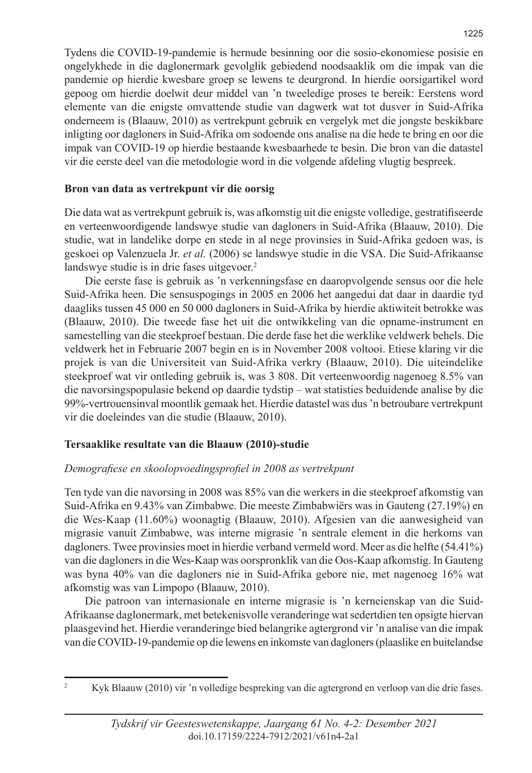Tydens die COVID-19-pandemie is hernude besinning oor die sosio-ekonomiese posisie en ongelykhede in die daglonermark gevolglik gebiedend noodsaaklik om die impak van die pandemie op hierdie kwesbare groep se lewens te deurgrond. In hierdie oorsigartikel word gepoog om hierdie doelwit deur middel van 'n tweeledige proses te bereik: Eerstens word elemente van die enigste omvattende studie van dagwerk wat tot dusver in Suid-Afrika onderneem is (Blaauw, 2010) as vertrekpunt gebruik en vergelyk met die jongste beskikbare inligting oor dagloners in Suid-Afrika om sodoende ons analise na die hede te bring en oor die impak van COVID-19 op hierdie bestaande kwesbaarhede te besin. Die bron van die datastel vir die eerste deel van die metodologie word in die volgende afdeling vlugtig bespreek.

#### **Bron van data as vertrekpunt vir die oorsig**

Die data wat as vertrekpunt gebruik is, was afkomstig uit die enigste volledige, gestratifiseerde en verteenwoordigende landswye studie van dagloners in Suid-Afrika (Blaauw, 2010). Die studie, wat in landelike dorpe en stede in al nege provinsies in Suid-Afrika gedoen was, is geskoei op Valenzuela Jr. *et al.* (2006) se landswye studie in die VSA. Die Suid-Afrikaanse landswye studie is in drie fases uitgevoer.<sup>2</sup>

Die eerste fase is gebruik as 'n verkenningsfase en daaropvolgende sensus oor die hele Suid-Afrika heen. Die sensuspogings in 2005 en 2006 het aangedui dat daar in daardie tyd daagliks tussen 45 000 en 50 000 dagloners in Suid-Afrika by hierdie aktiwiteit betrokke was (Blaauw, 2010). Die tweede fase het uit die ontwikkeling van die opname-instrument en samestelling van die steekproef bestaan. Die derde fase het die werklike veldwerk behels. Die veldwerk het in Februarie 2007 begin en is in November 2008 voltooi. Etiese klaring vir die projek is van die Universiteit van Suid-Afrika verkry (Blaauw, 2010). Die uiteindelike steekproef wat vir ontleding gebruik is, was 3 808. Dit verteenwoordig nagenoeg 8.5% van die navorsingspopulasie bekend op daardie tydstip – wat statisties beduidende analise by die 99%-vertrouensinval moontlik gemaak het. Hierdie datastel was dus 'n betroubare vertrekpunt vir die doeleindes van die studie (Blaauw, 2010).

## **Tersaaklike resultate van die Blaauw (2010)-studie**

## *Demografiese en skoolopvoedingsprofiel in 2008 as vertrekpunt*

Ten tyde van die navorsing in 2008 was 85% van die werkers in die steekproef afkomstig van Suid-Afrika en 9.43% van Zimbabwe. Die meeste Zimbabwiërs was in Gauteng (27.19%) en die Wes-Kaap (11.60%) woonagtig (Blaauw, 2010). Afgesien van die aanwesigheid van migrasie vanuit Zimbabwe, was interne migrasie 'n sentrale element in die herkoms van dagloners. Twee provinsies moet in hierdie verband vermeld word. Meer as die helfte (54.41%) van die dagloners in die Wes-Kaap was oorspronklik van die Oos-Kaap afkomstig. In Gauteng was byna 40% van die dagloners nie in Suid-Afrika gebore nie, met nagenoeg 16% wat afkomstig was van Limpopo (Blaauw, 2010).

Die patroon van internasionale en interne migrasie is 'n kerneienskap van die Suid-Afrikaanse daglonermark, met betekenisvolle veranderinge wat sedertdien ten opsigte hiervan plaasgevind het. Hierdie veranderinge bied belangrike agtergrond vir 'n analise van die impak van die COVID-19-pandemie op die lewens en inkomste van dagloners (plaaslike en buitelandse

<sup>2</sup> Kyk Blaauw (2010) vir 'n volledige bespreking van die agtergrond en verloop van die drie fases.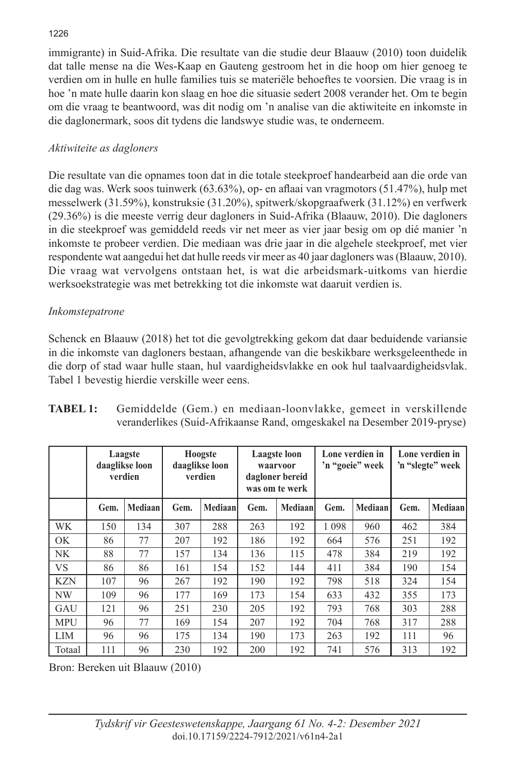#### 1226

immigrante) in Suid-Afrika. Die resultate van die studie deur Blaauw (2010) toon duidelik dat talle mense na die Wes-Kaap en Gauteng gestroom het in die hoop om hier genoeg te verdien om in hulle en hulle families tuis se materiële behoeftes te voorsien. Die vraag is in hoe 'n mate hulle daarin kon slaag en hoe die situasie sedert 2008 verander het. Om te begin om die vraag te beantwoord, was dit nodig om 'n analise van die aktiwiteite en inkomste in die daglonermark, soos dit tydens die landswye studie was, te onderneem.

## *Aktiwiteite as dagloners*

Die resultate van die opnames toon dat in die totale steekproef handearbeid aan die orde van die dag was. Werk soos tuinwerk (63.63%), op- en aflaai van vragmotors (51.47%), hulp met messelwerk (31.59%), konstruksie (31.20%), spitwerk/skopgraafwerk (31.12%) en verfwerk (29.36%) is die meeste verrig deur dagloners in Suid-Afrika (Blaauw, 2010). Die dagloners in die steekproef was gemiddeld reeds vir net meer as vier jaar besig om op dié manier 'n inkomste te probeer verdien. Die mediaan was drie jaar in die algehele steekproef, met vier respondente wat aangedui het dat hulle reeds vir meer as 40 jaar dagloners was (Blaauw, 2010). Die vraag wat vervolgens ontstaan het, is wat die arbeidsmark-uitkoms van hierdie werksoekstrategie was met betrekking tot die inkomste wat daaruit verdien is.

## *Inkomstepatrone*

Schenck en Blaauw (2018) het tot die gevolgtrekking gekom dat daar beduidende variansie in die inkomste van dagloners bestaan, afhangende van die beskikbare werksgeleenthede in die dorp of stad waar hulle staan, hul vaardigheidsvlakke en ook hul taalvaardigheidsvlak. Tabel 1 bevestig hierdie verskille weer eens.

|            | Laagste<br>daaglikse loon<br>verdien |         | Hoogste<br>daaglikse loon<br>verdien |         | Laagste loon<br>waarvoor<br>dagloner bereid<br>was om te werk |         | Lone verdien in<br>'n "goeie" week |         | Lone verdien in<br>'n "slegte" week |          |
|------------|--------------------------------------|---------|--------------------------------------|---------|---------------------------------------------------------------|---------|------------------------------------|---------|-------------------------------------|----------|
|            | Gem.                                 | Mediaan | Gem.                                 | Mediaan | Gem.                                                          | Mediaan | Gem.                               | Mediaan | Gem.                                | Mediaanl |
| WK         | 150                                  | 134     | 307                                  | 288     | 263                                                           | 192     | 1 0 9 8                            | 960     | 462                                 | 384      |
| OK         | 86                                   | 77      | 207                                  | 192     | 186                                                           | 192     | 664                                | 576     | 251                                 | 192      |
| <b>NK</b>  | 88                                   | 77      | 157                                  | 134     | 136                                                           | 115     | 478                                | 384     | 219                                 | 192      |
| <b>VS</b>  | 86                                   | 86      | 161                                  | 154     | 152                                                           | 144     | 411                                | 384     | 190                                 | 154      |
| <b>KZN</b> | 107                                  | 96      | 267                                  | 192     | 190                                                           | 192     | 798                                | 518     | 324                                 | 154      |
| NW         | 109                                  | 96      | 177                                  | 169     | 173                                                           | 154     | 633                                | 432     | 355                                 | 173      |
| GAU        | 121                                  | 96      | 251                                  | 230     | 205                                                           | 192     | 793                                | 768     | 303                                 | 288      |
| <b>MPU</b> | 96                                   | 77      | 169                                  | 154     | 207                                                           | 192     | 704                                | 768     | 317                                 | 288      |
| LIM        | 96                                   | 96      | 175                                  | 134     | 190                                                           | 173     | 263                                | 192     | 111                                 | 96       |
| Totaal     | 111                                  | 96      | 230                                  | 192     | 200                                                           | 192     | 741                                | 576     | 313                                 | 192      |

| TABEL 1: | Gemiddelde (Gem.) en mediaan-loonvlakke, gemeet in verskillende         |
|----------|-------------------------------------------------------------------------|
|          | veranderlikes (Suid-Afrikaanse Rand, omgeskakel na Desember 2019-pryse) |

Bron: Bereken uit Blaauw (2010)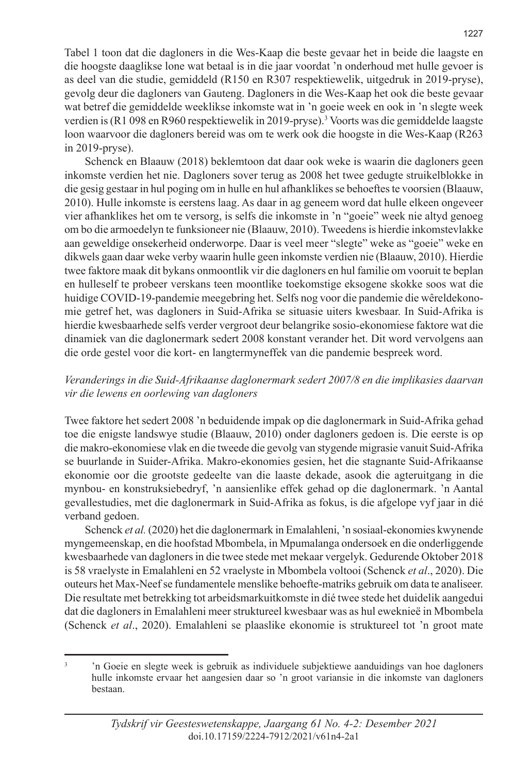Tabel 1 toon dat die dagloners in die Wes-Kaap die beste gevaar het in beide die laagste en die hoogste daaglikse lone wat betaal is in die jaar voordat 'n onderhoud met hulle gevoer is as deel van die studie, gemiddeld (R150 en R307 respektiewelik, uitgedruk in 2019-pryse), gevolg deur die dagloners van Gauteng. Dagloners in die Wes-Kaap het ook die beste gevaar wat betref die gemiddelde weeklikse inkomste wat in 'n goeie week en ook in 'n slegte week verdien is (R1 098 en R960 respektiewelik in 2019-pryse).3 Voorts was die gemiddelde laagste loon waarvoor die dagloners bereid was om te werk ook die hoogste in die Wes-Kaap (R263 in 2019-pryse).

Schenck en Blaauw (2018) beklemtoon dat daar ook weke is waarin die dagloners geen inkomste verdien het nie. Dagloners sover terug as 2008 het twee gedugte struikelblokke in die gesig gestaar in hul poging om in hulle en hul afhanklikes se behoeftes te voorsien (Blaauw, 2010). Hulle inkomste is eerstens laag. As daar in ag geneem word dat hulle elkeen ongeveer vier afhanklikes het om te versorg, is selfs die inkomste in 'n "goeie" week nie altyd genoeg om bo die armoedelyn te funksioneer nie (Blaauw, 2010). Tweedens is hierdie inkomstevlakke aan geweldige onsekerheid onderworpe. Daar is veel meer "slegte" weke as "goeie" weke en dikwels gaan daar weke verby waarin hulle geen inkomste verdien nie (Blaauw, 2010). Hierdie twee faktore maak dit bykans onmoontlik vir die dagloners en hul familie om vooruit te beplan en hulleself te probeer verskans teen moontlike toekomstige eksogene skokke soos wat die huidige COVID-19-pandemie meegebring het. Selfs nog voor die pandemie die wêreldekonomie getref het, was dagloners in Suid-Afrika se situasie uiters kwesbaar. In Suid-Afrika is hierdie kwesbaarhede selfs verder vergroot deur belangrike sosio-ekonomiese faktore wat die dinamiek van die daglonermark sedert 2008 konstant verander het. Dit word vervolgens aan die orde gestel voor die kort- en langtermyneffek van die pandemie bespreek word.

#### *Veranderings in die Suid-Afrikaanse daglonermark sedert 2007/8 en die implikasies daarvan vir die lewens en oorlewing van dagloners*

Twee faktore het sedert 2008 'n beduidende impak op die daglonermark in Suid-Afrika gehad toe die enigste landswye studie (Blaauw, 2010) onder dagloners gedoen is. Die eerste is op die makro-ekonomiese vlak en die tweede die gevolg van stygende migrasie vanuit Suid-Afrika se buurlande in Suider-Afrika. Makro-ekonomies gesien, het die stagnante Suid-Afrikaanse ekonomie oor die grootste gedeelte van die laaste dekade, asook die agteruitgang in die mynbou- en konstruksiebedryf, 'n aansienlike effek gehad op die daglonermark. 'n Aantal gevallestudies, met die daglonermark in Suid-Afrika as fokus, is die afgelope vyf jaar in dié verband gedoen.

Schenck *et al.* (2020) het die daglonermark in Emalahleni, 'n sosiaal-ekonomies kwynende myngemeenskap, en die hoofstad Mbombela, in Mpumalanga ondersoek en die onderliggende kwesbaarhede van dagloners in die twee stede met mekaar vergelyk. Gedurende Oktober 2018 is 58 vraelyste in Emalahleni en 52 vraelyste in Mbombela voltooi (Schenck *et al*., 2020). Die outeurs het Max-Neef se fundamentele menslike behoefte-matriks gebruik om data te analiseer. Die resultate met betrekking tot arbeidsmarkuitkomste in dié twee stede het duidelik aangedui dat die dagloners in Emalahleni meer struktureel kwesbaar was as hul eweknieë in Mbombela (Schenck *et al*., 2020). Emalahleni se plaaslike ekonomie is struktureel tot 'n groot mate

<sup>3</sup> 'n Goeie en slegte week is gebruik as individuele subjektiewe aanduidings van hoe dagloners hulle inkomste ervaar het aangesien daar so 'n groot variansie in die inkomste van dagloners bestaan.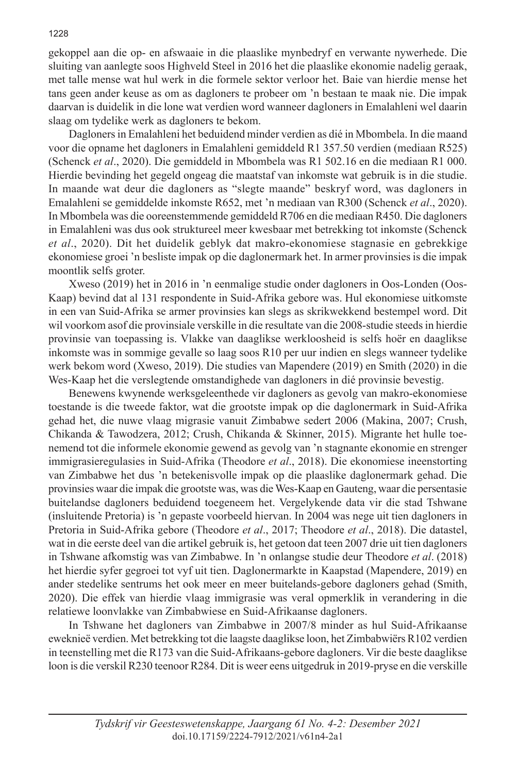gekoppel aan die op- en afswaaie in die plaaslike mynbedryf en verwante nywerhede. Die sluiting van aanlegte soos Highveld Steel in 2016 het die plaaslike ekonomie nadelig geraak, met talle mense wat hul werk in die formele sektor verloor het. Baie van hierdie mense het tans geen ander keuse as om as dagloners te probeer om 'n bestaan te maak nie. Die impak daarvan is duidelik in die lone wat verdien word wanneer dagloners in Emalahleni wel daarin slaag om tydelike werk as dagloners te bekom.

Dagloners in Emalahleni het beduidend minder verdien as dié in Mbombela. In die maand voor die opname het dagloners in Emalahleni gemiddeld R1 357.50 verdien (mediaan R525) (Schenck *et al*., 2020). Die gemiddeld in Mbombela was R1 502.16 en die mediaan R1 000. Hierdie bevinding het gegeld ongeag die maatstaf van inkomste wat gebruik is in die studie. In maande wat deur die dagloners as "slegte maande" beskryf word, was dagloners in Emalahleni se gemiddelde inkomste R652, met 'n mediaan van R300 (Schenck *et al*., 2020). In Mbombela was die ooreenstemmende gemiddeld R706 en die mediaan R450. Die dagloners in Emalahleni was dus ook struktureel meer kwesbaar met betrekking tot inkomste (Schenck *et al*., 2020). Dit het duidelik geblyk dat makro-ekonomiese stagnasie en gebrekkige ekonomiese groei 'n besliste impak op die daglonermark het. In armer provinsies is die impak moontlik selfs groter.

Xweso (2019) het in 2016 in 'n eenmalige studie onder dagloners in Oos-Londen (Oos-Kaap) bevind dat al 131 respondente in Suid-Afrika gebore was. Hul ekonomiese uitkomste in een van Suid-Afrika se armer provinsies kan slegs as skrikwekkend bestempel word. Dit wil voorkom asof die provinsiale verskille in die resultate van die 2008-studie steeds in hierdie provinsie van toepassing is. Vlakke van daaglikse werkloosheid is selfs hoër en daaglikse inkomste was in sommige gevalle so laag soos R10 per uur indien en slegs wanneer tydelike werk bekom word (Xweso, 2019). Die studies van Mapendere (2019) en Smith (2020) in die Wes-Kaap het die verslegtende omstandighede van dagloners in dié provinsie bevestig.

Benewens kwynende werksgeleenthede vir dagloners as gevolg van makro-ekonomiese toestande is die tweede faktor, wat die grootste impak op die daglonermark in Suid-Afrika gehad het, die nuwe vlaag migrasie vanuit Zimbabwe sedert 2006 (Makina, 2007; Crush, Chikanda & Tawodzera, 2012; Crush, Chikanda & Skinner, 2015). Migrante het hulle toenemend tot die informele ekonomie gewend as gevolg van 'n stagnante ekonomie en strenger immigrasieregulasies in Suid-Afrika (Theodore *et al*., 2018). Die ekonomiese ineenstorting van Zimbabwe het dus 'n betekenisvolle impak op die plaaslike daglonermark gehad. Die provinsies waar die impak die grootste was, was die Wes-Kaap en Gauteng, waar die persentasie buitelandse dagloners beduidend toegeneem het. Vergelykende data vir die stad Tshwane (insluitende Pretoria) is 'n gepaste voorbeeld hiervan. In 2004 was nege uit tien dagloners in Pretoria in Suid-Afrika gebore (Theodore *et al*., 2017; Theodore *et al*., 2018). Die datastel, wat in die eerste deel van die artikel gebruik is, het getoon dat teen 2007 drie uit tien dagloners in Tshwane afkomstig was van Zimbabwe. In 'n onlangse studie deur Theodore *et al*. (2018) het hierdie syfer gegroei tot vyf uit tien. Daglonermarkte in Kaapstad (Mapendere, 2019) en ander stedelike sentrums het ook meer en meer buitelands-gebore dagloners gehad (Smith, 2020). Die effek van hierdie vlaag immigrasie was veral opmerklik in verandering in die relatiewe loonvlakke van Zimbabwiese en Suid-Afrikaanse dagloners.

In Tshwane het dagloners van Zimbabwe in 2007/8 minder as hul Suid-Afrikaanse eweknieë verdien. Met betrekking tot die laagste daaglikse loon, het Zimbabwiërs R102 verdien in teenstelling met die R173 van die Suid-Afrikaans-gebore dagloners. Vir die beste daaglikse loon is die verskil R230 teenoor R284. Dit is weer eens uitgedruk in 2019-pryse en die verskille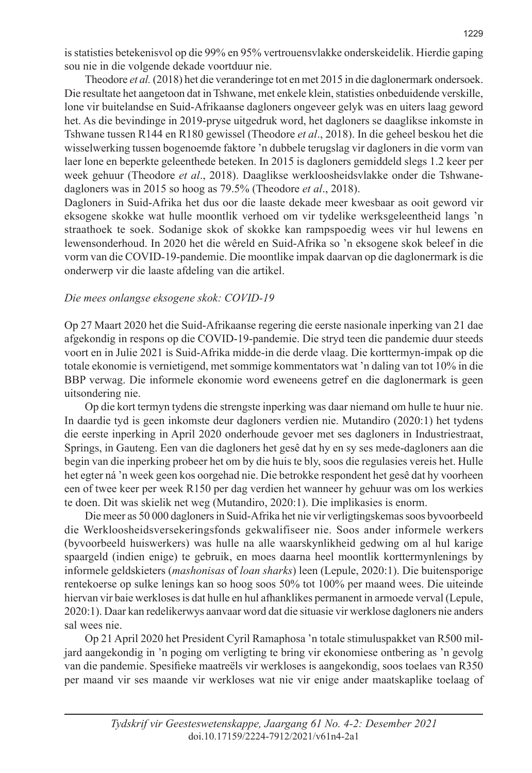is statisties betekenisvol op die 99% en 95% vertrouensvlakke onderskeidelik. Hierdie gaping sou nie in die volgende dekade voortduur nie.

Theodore *et al.* (2018) het die veranderinge tot en met 2015 in die daglonermark ondersoek. Die resultate het aangetoon dat in Tshwane, met enkele klein, statisties onbeduidende verskille, lone vir buitelandse en Suid-Afrikaanse dagloners ongeveer gelyk was en uiters laag geword het. As die bevindinge in 2019-pryse uitgedruk word, het dagloners se daaglikse inkomste in Tshwane tussen R144 en R180 gewissel (Theodore *et al*., 2018). In die geheel beskou het die wisselwerking tussen bogenoemde faktore 'n dubbele terugslag vir dagloners in die vorm van laer lone en beperkte geleenthede beteken. In 2015 is dagloners gemiddeld slegs 1.2 keer per week gehuur (Theodore *et al*., 2018). Daaglikse werkloosheidsvlakke onder die Tshwanedagloners was in 2015 so hoog as 79.5% (Theodore *et al*., 2018).

Dagloners in Suid-Afrika het dus oor die laaste dekade meer kwesbaar as ooit geword vir eksogene skokke wat hulle moontlik verhoed om vir tydelike werksgeleentheid langs 'n straathoek te soek. Sodanige skok of skokke kan rampspoedig wees vir hul lewens en lewensonderhoud. In 2020 het die wêreld en Suid-Afrika so 'n eksogene skok beleef in die vorm van die COVID-19-pandemie. Die moontlike impak daarvan op die daglonermark is die onderwerp vir die laaste afdeling van die artikel.

#### *Die mees onlangse eksogene skok: COVID-19*

Op 27 Maart 2020 het die Suid-Afrikaanse regering die eerste nasionale inperking van 21 dae afgekondig in respons op die COVID-19-pandemie. Die stryd teen die pandemie duur steeds voort en in Julie 2021 is Suid-Afrika midde-in die derde vlaag. Die korttermyn-impak op die totale ekonomie is vernietigend, met sommige kommentators wat 'n daling van tot 10% in die BBP verwag. Die informele ekonomie word eweneens getref en die daglonermark is geen uitsondering nie.

Op die kort termyn tydens die strengste inperking was daar niemand om hulle te huur nie. In daardie tyd is geen inkomste deur dagloners verdien nie. Mutandiro (2020:1) het tydens die eerste inperking in April 2020 onderhoude gevoer met ses dagloners in Industriestraat, Springs, in Gauteng. Een van die dagloners het gesê dat hy en sy ses mede-dagloners aan die begin van die inperking probeer het om by die huis te bly, soos die regulasies vereis het. Hulle het egter ná 'n week geen kos oorgehad nie. Die betrokke respondent het gesê dat hy voorheen een of twee keer per week R150 per dag verdien het wanneer hy gehuur was om los werkies te doen. Dit was skielik net weg (Mutandiro, 2020:1). Die implikasies is enorm.

Die meer as 50 000 dagloners in Suid-Afrika het nie vir verligtingskemas soos byvoorbeeld die Werkloosheidsversekeringsfonds gekwalifiseer nie. Soos ander informele werkers (byvoorbeeld huiswerkers) was hulle na alle waarskynlikheid gedwing om al hul karige spaargeld (indien enige) te gebruik, en moes daarna heel moontlik korttermynlenings by informele geldskieters (*mashonisas* of *loan sharks*) leen (Lepule, 2020:1). Die buitensporige rentekoerse op sulke lenings kan so hoog soos 50% tot 100% per maand wees. Die uiteinde hiervan vir baie werkloses is dat hulle en hul afhanklikes permanent in armoede verval (Lepule, 2020:1). Daar kan redelikerwys aanvaar word dat die situasie vir werklose dagloners nie anders sal wees nie.

Op 21 April 2020 het President Cyril Ramaphosa 'n totale stimuluspakket van R500 miljard aangekondig in 'n poging om verligting te bring vir ekonomiese ontbering as 'n gevolg van die pandemie. Spesifieke maatreëls vir werkloses is aangekondig, soos toelaes van R350 per maand vir ses maande vir werkloses wat nie vir enige ander maatskaplike toelaag of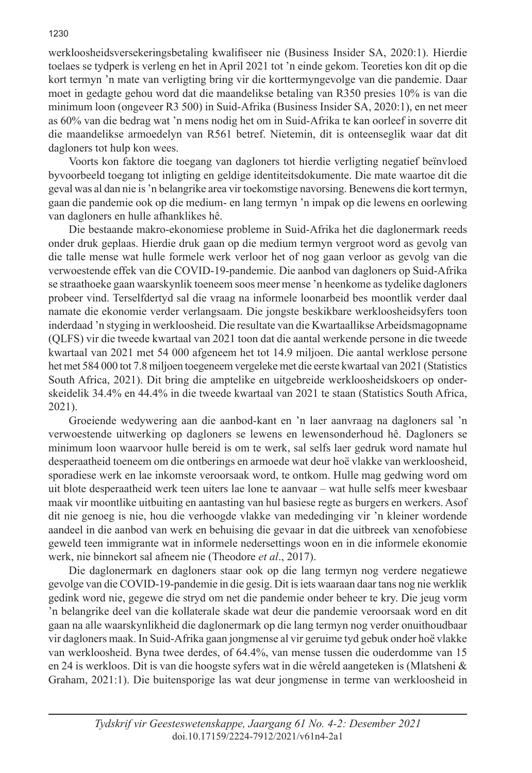werkloosheidsversekeringsbetaling kwalifiseer nie (Business Insider SA, 2020:1). Hierdie toelaes se tydperk is verleng en het in April 2021 tot 'n einde gekom. Teoreties kon dit op die kort termyn 'n mate van verligting bring vir die korttermyngevolge van die pandemie. Daar moet in gedagte gehou word dat die maandelikse betaling van R350 presies 10% is van die minimum loon (ongeveer R3 500) in Suid-Afrika (Business Insider SA, 2020:1), en net meer as 60% van die bedrag wat 'n mens nodig het om in Suid-Afrika te kan oorleef in soverre dit die maandelikse armoedelyn van R561 betref. Nietemin, dit is onteenseglik waar dat dit dagloners tot hulp kon wees.

Voorts kon faktore die toegang van dagloners tot hierdie verligting negatief beïnvloed byvoorbeeld toegang tot inligting en geldige identiteitsdokumente. Die mate waartoe dit die geval was al dan nie is 'n belangrike area vir toekomstige navorsing. Benewens die kort termyn, gaan die pandemie ook op die medium- en lang termyn 'n impak op die lewens en oorlewing van dagloners en hulle afhanklikes hê.

Die bestaande makro-ekonomiese probleme in Suid-Afrika het die daglonermark reeds onder druk geplaas. Hierdie druk gaan op die medium termyn vergroot word as gevolg van die talle mense wat hulle formele werk verloor het of nog gaan verloor as gevolg van die verwoestende effek van die COVID-19-pandemie. Die aanbod van dagloners op Suid-Afrika se straathoeke gaan waarskynlik toeneem soos meer mense 'n heenkome as tydelike dagloners probeer vind. Terselfdertyd sal die vraag na informele loonarbeid bes moontlik verder daal namate die ekonomie verder verlangsaam. Die jongste beskikbare werkloosheidsyfers toon inderdaad 'n styging in werkloosheid. Die resultate van die Kwartaallikse Arbeidsmagopname (QLFS) vir die tweede kwartaal van 2021 toon dat die aantal werkende persone in die tweede kwartaal van 2021 met 54 000 afgeneem het tot 14.9 miljoen. Die aantal werklose persone het met 584 000 tot 7.8 miljoen toegeneem vergeleke met die eerste kwartaal van 2021 (Statistics South Africa, 2021). Dit bring die amptelike en uitgebreide werkloosheidskoers op onderskeidelik 34.4% en 44.4% in die tweede kwartaal van 2021 te staan (Statistics South Africa, 2021).

Groeiende wedywering aan die aanbod-kant en 'n laer aanvraag na dagloners sal 'n verwoestende uitwerking op dagloners se lewens en lewensonderhoud hê. Dagloners se minimum loon waarvoor hulle bereid is om te werk, sal selfs laer gedruk word namate hul desperaatheid toeneem om die ontberings en armoede wat deur hoë vlakke van werkloosheid, sporadiese werk en lae inkomste veroorsaak word, te ontkom. Hulle mag gedwing word om uit blote desperaatheid werk teen uiters lae lone te aanvaar – wat hulle selfs meer kwesbaar maak vir moontlike uitbuiting en aantasting van hul basiese regte as burgers en werkers. Asof dit nie genoeg is nie, hou die verhoogde vlakke van mededinging vir 'n kleiner wordende aandeel in die aanbod van werk en behuising die gevaar in dat die uitbreek van xenofobiese geweld teen immigrante wat in informele nedersettings woon en in die informele ekonomie werk, nie binnekort sal afneem nie (Theodore *et al*., 2017).

Die daglonermark en dagloners staar ook op die lang termyn nog verdere negatiewe gevolge van die COVID-19-pandemie in die gesig. Dit is iets waaraan daar tans nog nie werklik gedink word nie, gegewe die stryd om net die pandemie onder beheer te kry. Die jeug vorm 'n belangrike deel van die kollaterale skade wat deur die pandemie veroorsaak word en dit gaan na alle waarskynlikheid die daglonermark op die lang termyn nog verder onuithoudbaar vir dagloners maak. In Suid-Afrika gaan jongmense al vir geruime tyd gebuk onder hoë vlakke van werkloosheid. Byna twee derdes, of 64.4%, van mense tussen die ouderdomme van 15 en 24 is werkloos. Dit is van die hoogste syfers wat in die wêreld aangeteken is (Mlatsheni & Graham, 2021:1). Die buitensporige las wat deur jongmense in terme van werkloosheid in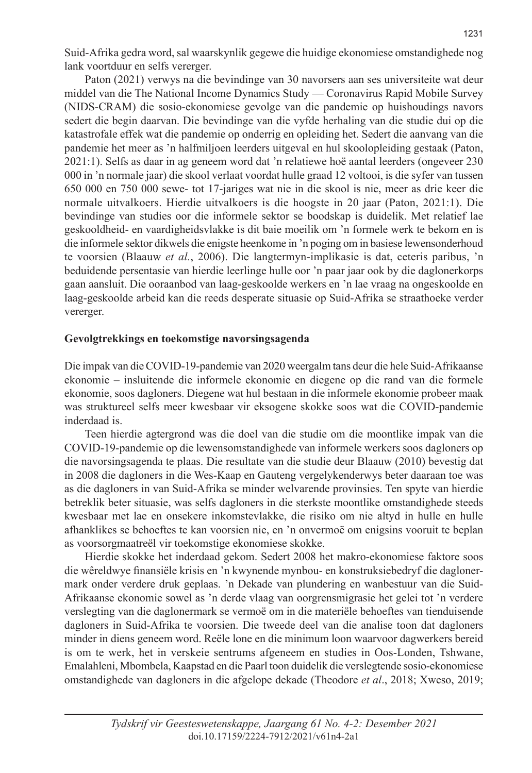Suid-Afrika gedra word, sal waarskynlik gegewe die huidige ekonomiese omstandighede nog lank voortduur en selfs vererger.

Paton (2021) verwys na die bevindinge van 30 navorsers aan ses universiteite wat deur middel van die The National Income Dynamics Study — Coronavirus Rapid Mobile Survey (NIDS-CRAM) die sosio-ekonomiese gevolge van die pandemie op huishoudings navors sedert die begin daarvan. Die bevindinge van die vyfde herhaling van die studie dui op die katastrofale effek wat die pandemie op onderrig en opleiding het. Sedert die aanvang van die pandemie het meer as 'n halfmiljoen leerders uitgeval en hul skoolopleiding gestaak (Paton, 2021:1). Selfs as daar in ag geneem word dat 'n relatiewe hoë aantal leerders (ongeveer 230 000 in 'n normale jaar) die skool verlaat voordat hulle graad 12 voltooi, is die syfer van tussen 650 000 en 750 000 sewe- tot 17-jariges wat nie in die skool is nie, meer as drie keer die normale uitvalkoers. Hierdie uitvalkoers is die hoogste in 20 jaar (Paton, 2021:1). Die bevindinge van studies oor die informele sektor se boodskap is duidelik. Met relatief lae geskooldheid- en vaardigheidsvlakke is dit baie moeilik om 'n formele werk te bekom en is die informele sektor dikwels die enigste heenkome in 'n poging om in basiese lewensonderhoud te voorsien (Blaauw *et al.*, 2006). Die langtermyn-implikasie is dat, ceteris paribus, 'n beduidende persentasie van hierdie leerlinge hulle oor 'n paar jaar ook by die daglonerkorps gaan aansluit. Die ooraanbod van laag-geskoolde werkers en 'n lae vraag na ongeskoolde en laag-geskoolde arbeid kan die reeds desperate situasie op Suid-Afrika se straathoeke verder vererger.

#### **Gevolgtrekkings en toekomstige navorsingsagenda**

Die impak van die COVID-19-pandemie van 2020 weergalm tans deur die hele Suid-Afrikaanse ekonomie – insluitende die informele ekonomie en diegene op die rand van die formele ekonomie, soos dagloners. Diegene wat hul bestaan in die informele ekonomie probeer maak was struktureel selfs meer kwesbaar vir eksogene skokke soos wat die COVID-pandemie inderdaad is.

Teen hierdie agtergrond was die doel van die studie om die moontlike impak van die COVID-19-pandemie op die lewensomstandighede van informele werkers soos dagloners op die navorsingsagenda te plaas. Die resultate van die studie deur Blaauw (2010) bevestig dat in 2008 die dagloners in die Wes-Kaap en Gauteng vergelykenderwys beter daaraan toe was as die dagloners in van Suid-Afrika se minder welvarende provinsies. Ten spyte van hierdie betreklik beter situasie, was selfs dagloners in die sterkste moontlike omstandighede steeds kwesbaar met lae en onsekere inkomstevlakke, die risiko om nie altyd in hulle en hulle afhanklikes se behoeftes te kan voorsien nie, en 'n onvermoë om enigsins vooruit te beplan as voorsorgmaatreël vir toekomstige ekonomiese skokke.

Hierdie skokke het inderdaad gekom. Sedert 2008 het makro-ekonomiese faktore soos die wêreldwye finansiële krisis en 'n kwynende mynbou- en konstruksiebedryf die daglonermark onder verdere druk geplaas. 'n Dekade van plundering en wanbestuur van die Suid-Afrikaanse ekonomie sowel as 'n derde vlaag van oorgrensmigrasie het gelei tot 'n verdere verslegting van die daglonermark se vermoë om in die materiële behoeftes van tienduisende dagloners in Suid-Afrika te voorsien. Die tweede deel van die analise toon dat dagloners minder in diens geneem word. Reële lone en die minimum loon waarvoor dagwerkers bereid is om te werk, het in verskeie sentrums afgeneem en studies in Oos-Londen, Tshwane, Emalahleni, Mbombela, Kaapstad en die Paarl toon duidelik die verslegtende sosio-ekonomiese omstandighede van dagloners in die afgelope dekade (Theodore *et al*., 2018; Xweso, 2019;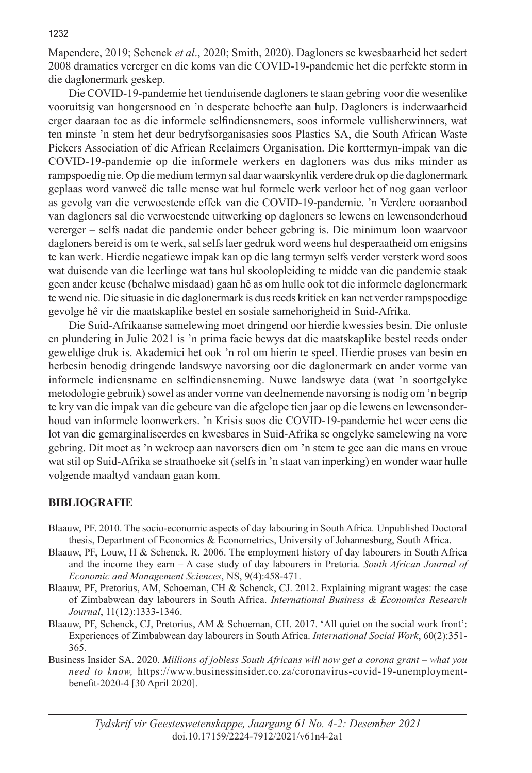Mapendere, 2019; Schenck *et al*., 2020; Smith, 2020). Dagloners se kwesbaarheid het sedert 2008 dramaties vererger en die koms van die COVID-19-pandemie het die perfekte storm in die daglonermark geskep.

Die COVID-19-pandemie het tienduisende dagloners te staan gebring voor die wesenlike vooruitsig van hongersnood en 'n desperate behoefte aan hulp. Dagloners is inderwaarheid erger daaraan toe as die informele selfindiensnemers, soos informele vullisherwinners, wat ten minste 'n stem het deur bedryfsorganisasies soos Plastics SA, die South African Waste Pickers Association of die African Reclaimers Organisation. Die korttermyn-impak van die COVID-19-pandemie op die informele werkers en dagloners was dus niks minder as rampspoedig nie. Op die medium termyn sal daar waarskynlik verdere druk op die daglonermark geplaas word vanweë die talle mense wat hul formele werk verloor het of nog gaan verloor as gevolg van die verwoestende effek van die COVID-19-pandemie. 'n Verdere ooraanbod van dagloners sal die verwoestende uitwerking op dagloners se lewens en lewensonderhoud vererger – selfs nadat die pandemie onder beheer gebring is. Die minimum loon waarvoor dagloners bereid is om te werk, sal selfs laer gedruk word weens hul desperaatheid om enigsins te kan werk. Hierdie negatiewe impak kan op die lang termyn selfs verder versterk word soos wat duisende van die leerlinge wat tans hul skoolopleiding te midde van die pandemie staak geen ander keuse (behalwe misdaad) gaan hê as om hulle ook tot die informele daglonermark te wend nie. Die situasie in die daglonermark is dus reeds kritiek en kan net verder rampspoedige gevolge hê vir die maatskaplike bestel en sosiale samehorigheid in Suid-Afrika.

Die Suid-Afrikaanse samelewing moet dringend oor hierdie kwessies besin. Die onluste en plundering in Julie 2021 is 'n prima facie bewys dat die maatskaplike bestel reeds onder geweldige druk is. Akademici het ook 'n rol om hierin te speel. Hierdie proses van besin en herbesin benodig dringende landswye navorsing oor die daglonermark en ander vorme van informele indiensname en selfindiensneming. Nuwe landswye data (wat 'n soortgelyke metodologie gebruik) sowel as ander vorme van deelnemende navorsing is nodig om 'n begrip te kry van die impak van die gebeure van die afgelope tien jaar op die lewens en lewensonderhoud van informele loonwerkers. 'n Krisis soos die COVID-19-pandemie het weer eens die lot van die gemarginaliseerdes en kwesbares in Suid-Afrika se ongelyke samelewing na vore gebring. Dit moet as 'n wekroep aan navorsers dien om 'n stem te gee aan die mans en vroue wat stil op Suid-Afrika se straathoeke sit (selfs in 'n staat van inperking) en wonder waar hulle volgende maaltyd vandaan gaan kom.

#### **BIBLIOGRAFIE**

- Blaauw, PF. 2010. The socio-economic aspects of day labouring in South Africa*.* Unpublished Doctoral thesis, Department of Economics & Econometrics, University of Johannesburg, South Africa.
- Blaauw, PF, Louw, H & Schenck, R. 2006. The employment history of day labourers in South Africa and the income they earn – A case study of day labourers in Pretoria. *South African Journal of Economic and Management Sciences*, NS, 9(4):458-471.
- Blaauw, PF, Pretorius, AM, Schoeman, CH & Schenck, CJ. 2012. Explaining migrant wages: the case of Zimbabwean day labourers in South Africa. *International Business & Economics Research Journal*, 11(12):1333-1346.
- Blaauw, PF, Schenck, CJ, Pretorius, AM & Schoeman, CH. 2017. 'All quiet on the social work front': Experiences of Zimbabwean day labourers in South Africa. *International Social Work*, 60(2):351- 365.
- Business Insider SA. 2020. *Millions of jobless South Africans will now get a corona grant what you need to know,* https://www.businessinsider.co.za/coronavirus-covid-19-unemploymentbenefit-2020-4 [30 April 2020].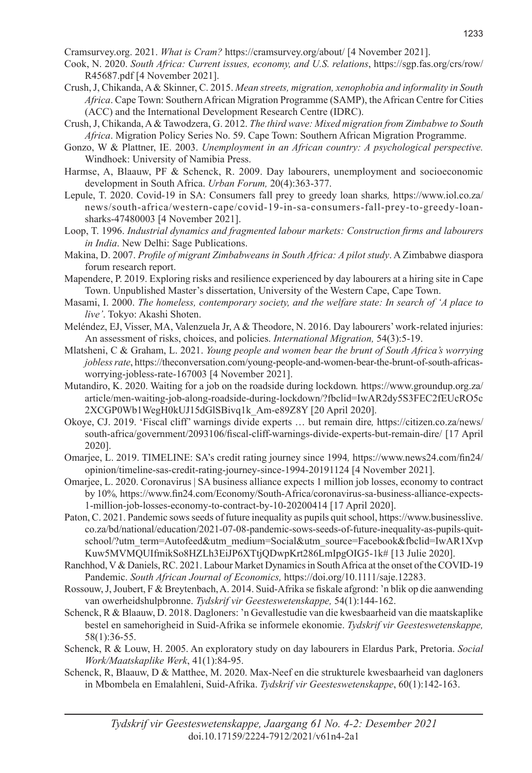Cramsurvey.org. 2021. *What is Cram?* https://cramsurvey.org/about/ [4 November 2021].

- Cook, N. 2020. *South Africa: Current issues, economy, and U.S. relations*, https://sgp.fas.org/crs/row/ R45687.pdf [4 November 2021].
- Crush, J, Chikanda, A & Skinner, C. 2015. *Mean streets, migration, xenophobia and informality in South Africa*. Cape Town: Southern African Migration Programme (SAMP), the African Centre for Cities (ACC) and the International Development Research Centre (IDRC).
- Crush, J, Chikanda, A & Tawodzera, G. 2012. *The third wave: Mixed migration from Zimbabwe to South Africa*. Migration Policy Series No. 59. Cape Town: Southern African Migration Programme.
- Gonzo, W & Plattner, IE. 2003. *Unemployment in an African country: A psychological perspective.* Windhoek: University of Namibia Press.
- Harmse, A, Blaauw, PF & Schenck, R. 2009. Day labourers, unemployment and socioeconomic development in South Africa. *Urban Forum,* 20(4):363-377.
- Lepule, T. 2020. Covid-19 in SA: Consumers fall prey to greedy loan sharks*,* https://www.iol.co.za/ news/south-africa/western-cape/covid-19-in-sa-consumers-fall-prey-to-greedy-loansharks-47480003 [4 November 2021].
- Loop, T. 1996. *Industrial dynamics and fragmented labour markets: Construction firms and labourers in India*. New Delhi: Sage Publications.
- Makina, D. 2007. *Profile of migrant Zimbabweans in South Africa: A pilot study*. A Zimbabwe diaspora forum research report.
- Mapendere, P. 2019. Exploring risks and resilience experienced by day labourers at a hiring site in Cape Town. Unpublished Master's dissertation, University of the Western Cape, Cape Town.
- Masami, I. 2000. *The homeless, contemporary society, and the welfare state: In search of 'A place to live'*. Tokyo: Akashi Shoten.
- Meléndez, EJ, Visser, MA, Valenzuela Jr, A & Theodore, N. 2016. Day labourers' work-related injuries: An assessment of risks, choices, and policies. *International Migration,* 54(3):5-19.
- Mlatsheni, C & Graham, L. 2021. *Young people and women bear the brunt of South Africa's worrying jobless rate*, https://theconversation.com/young-people-and-women-bear-the-brunt-of-south-africasworrying-jobless-rate-167003 [4 November 2021].
- Mutandiro, K. 2020. Waiting for a job on the roadside during lockdown*.* https://www.groundup.org.za/ article/men-waiting-job-along-roadside-during-lockdown/?fbclid=IwAR2dy5S3FEC2fEUcRO5c 2XCGP0Wb1WegH0kUJ15dGlSBivq1k\_Am-e89Z8Y [20 April 2020].
- Okoye, CJ. 2019. 'Fiscal cliff' warnings divide experts … but remain dire*,* https://citizen.co.za/news/ south-africa/government/2093106/fiscal-cliff-warnings-divide-experts-but-remain-dire/ [17 April 2020].
- Omarjee, L. 2019. TIMELINE: SA's credit rating journey since 1994*,* https://www.news24.com/fin24/ opinion/timeline-sas-credit-rating-journey-since-1994-20191124 [4 November 2021].
- Omarjee, L. 2020. Coronavirus | SA business alliance expects 1 million job losses, economy to contract by 10%*,* https://www.fin24.com/Economy/South-Africa/coronavirus-sa-business-alliance-expects-1-million-job-losses-economy-to-contract-by-10-20200414 [17 April 2020].
- Paton, C. 2021. Pandemic sows seeds of future inequality as pupils quit school, https://www.businesslive. co.za/bd/national/education/2021-07-08-pandemic-sows-seeds-of-future-inequality-as-pupils-quitschool/?utm\_term=Autofeed&utm\_medium=Social&utm\_source=Facebook&fbclid=IwAR1Xvp Kuw5MVMQUIfmikSo8HZLh3EiJP6XTtjQDwpKrt286LmIpgOIG5-1k# [13 Julie 2020].
- Ranchhod, V & Daniels, RC. 2021. Labour Market Dynamics in South Africa at the onset of the COVID-19 Pandemic. *South African Journal of Economics,* https://doi.org/10.1111/saje.12283.
- Rossouw, J, Joubert, F & Breytenbach, A. 2014. Suid-Afrika se fiskale afgrond: 'n blik op die aanwending van owerheidshulpbronne. *Tydskrif vir Geesteswetenskappe,* 54(1):144-162.
- Schenck, R & Blaauw, D. 2018. Dagloners: 'n Gevallestudie van die kwesbaarheid van die maatskaplike bestel en samehorigheid in Suid-Afrika se informele ekonomie. *Tydskrif vir Geesteswetenskappe,* 58(1):36-55.
- Schenck, R & Louw, H. 2005. An exploratory study on day labourers in Elardus Park, Pretoria. *Social Work/Maatskaplike Werk*, 41(1):84-95.
- Schenck, R, Blaauw, D & Matthee, M. 2020. Max-Neef en die strukturele kwesbaarheid van dagloners in Mbombela en Emalahleni, Suid-Afrika. *Tydskrif vir Geesteswetenskappe*, 60(1):142-163.